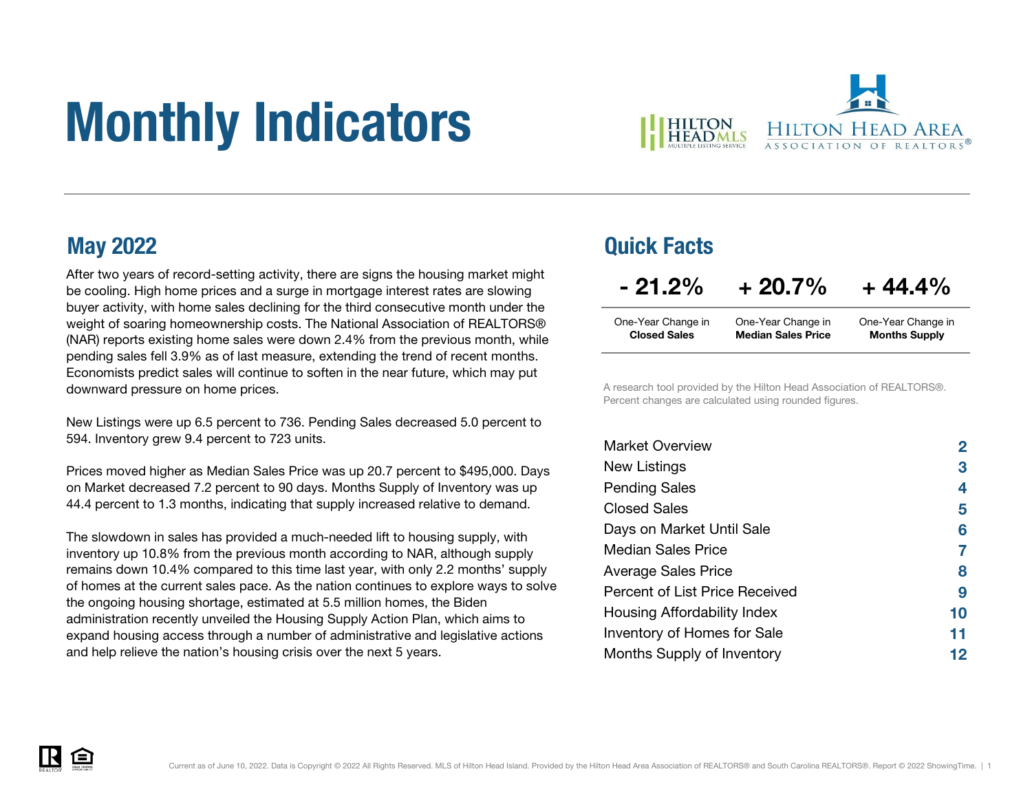# Monthly Indicators



After two years of record-setting activity, there are signs the housing market might be cooling. High home prices and a surge in mortgage interest rates are slowing buyer activity, with home sales declining for the third consecutive month under the weight of soaring homeownership costs. The National Association of REALTORS® (NAR) reports existing home sales were down 2.4% from the previous month, while pending sales fell 3.9% as of last measure, extending the trend of recent months. Economists predict sales will continue to soften in the near future, which may put downward pressure on home prices.

New Listings were up 6.5 percent to 736. Pending Sales decreased 5.0 percent to 594. Inventory grew 9.4 percent to 723 units.

Prices moved higher as Median Sales Price was up 20.7 percent to \$495,000. Days on Market decreased 7.2 percent to 90 days. Months Supply of Inventory was up 44.4 percent to 1.3 months, indicating that supply increased relative to demand.

The slowdown in sales has provided a much-needed lift to housing supply, with inventory up 10.8% from the previous month according to NAR, although supply remains down 10.4% compared to this time last year, with only 2.2 months' supply of homes at the current sales pace. As the nation continues to explore ways to solve the ongoing housing shortage, estimated at 5.5 million homes, the Biden administration recently unveiled the Housing Supply Action Plan, which aims to expand housing access through a number of administrative and legislative actions and help relieve the nation's housing crisis over the next 5 years.

### May 2022 Quick Facts

| $-21.2%$            | $+20.7%$                  | $+44.4%$             |
|---------------------|---------------------------|----------------------|
| One-Year Change in  | One-Year Change in        | One-Year Change in   |
| <b>Closed Sales</b> | <b>Median Sales Price</b> | <b>Months Supply</b> |

A research tool provided by the Hilton Head Association of REALTORS®. Percent changes are calculated using rounded figures.

| <b>Market Overview</b>             | 2  |
|------------------------------------|----|
| New Listings                       | 3  |
| <b>Pending Sales</b>               | 4  |
| Closed Sales                       | 5  |
| Days on Market Until Sale          | 6  |
| Median Sales Price                 |    |
| <b>Average Sales Price</b>         | 8  |
| Percent of List Price Received     | 9  |
| Housing Affordability Index        | 10 |
| <b>Inventory of Homes for Sale</b> | 11 |
| Months Supply of Inventory         | 12 |

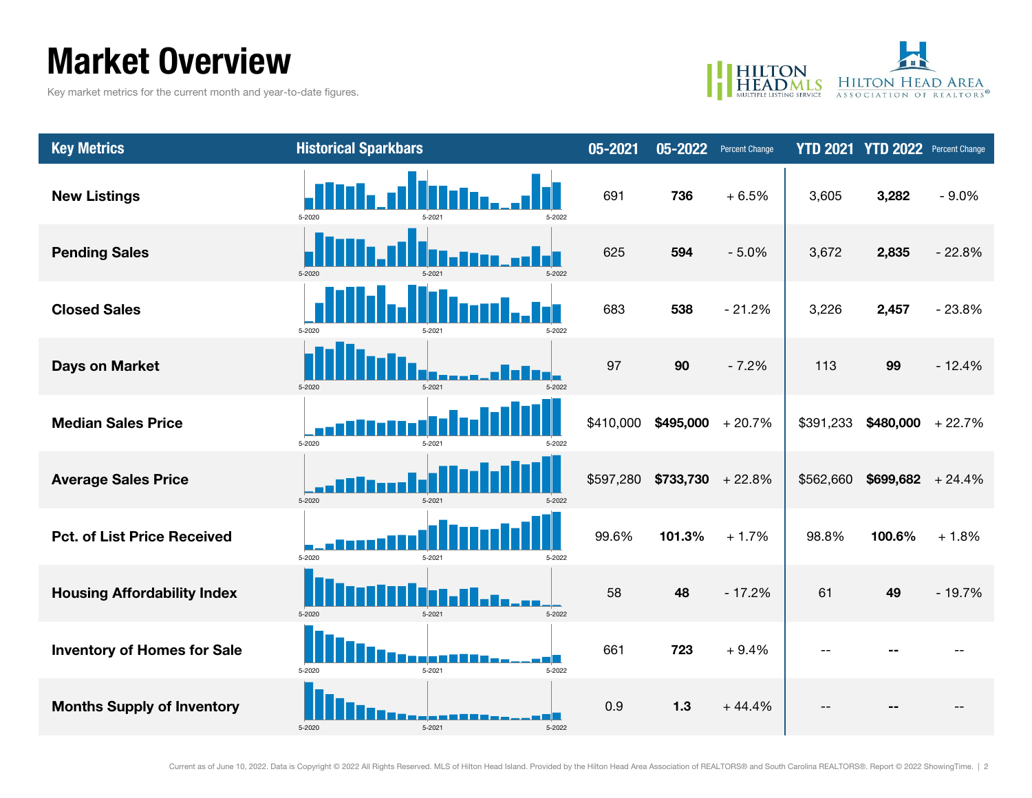### Market Overview

Key market metrics for the current month and year-to-date figures.



| <b>Key Metrics</b>                 | <b>Historical Sparkbars</b>    | 05-2021   |                              | 05-2022 Percent Change |           | YTD 2021 YTD 2022 Percent Change |          |
|------------------------------------|--------------------------------|-----------|------------------------------|------------------------|-----------|----------------------------------|----------|
| <b>New Listings</b>                | 5-2020<br>5-2022               | 691       | 736                          | $+6.5%$                | 3,605     | 3,282                            | $-9.0%$  |
| <b>Pending Sales</b>               | 5-2020<br>5-2022               | 625       | 594                          | $-5.0%$                | 3,672     | 2,835                            | $-22.8%$ |
| <b>Closed Sales</b>                | 5-2020<br>5-2022               | 683       | 538                          | $-21.2%$               | 3,226     | 2,457                            | $-23.8%$ |
| <b>Days on Market</b>              | 5-2020<br>5-2021<br>5-2022     | 97        | 90                           | $-7.2%$                | 113       | 99                               | $-12.4%$ |
| <b>Median Sales Price</b>          | 5-2020<br>5-2021               | \$410,000 | $$495,000 + 20.7\%$          |                        | \$391,233 | $$480,000$ + 22.7%               |          |
| <b>Average Sales Price</b>         | 5-2020                         |           | $$597,280$ \$733,730 + 22.8% |                        | \$562,660 | $$699,682$ + 24.4%               |          |
| <b>Pct. of List Price Received</b> | 5-2020<br>5-2022<br>$5 - 202$  | 99.6%     | 101.3%                       | $+1.7%$                | 98.8%     | 100.6%                           | $+1.8%$  |
| <b>Housing Affordability Index</b> | 5-2022<br>5-2020<br>$5 - 2021$ | 58        | 48                           | $-17.2%$               | 61        | 49                               | $-19.7%$ |
| <b>Inventory of Homes for Sale</b> | $5 - 2021$<br>5-2022<br>5-2020 | 661       | 723                          | $+9.4%$                |           |                                  |          |
| <b>Months Supply of Inventory</b>  | $5 - 2021$<br>5-2022<br>5-2020 | 0.9       | 1.3                          | $+44.4%$               |           |                                  |          |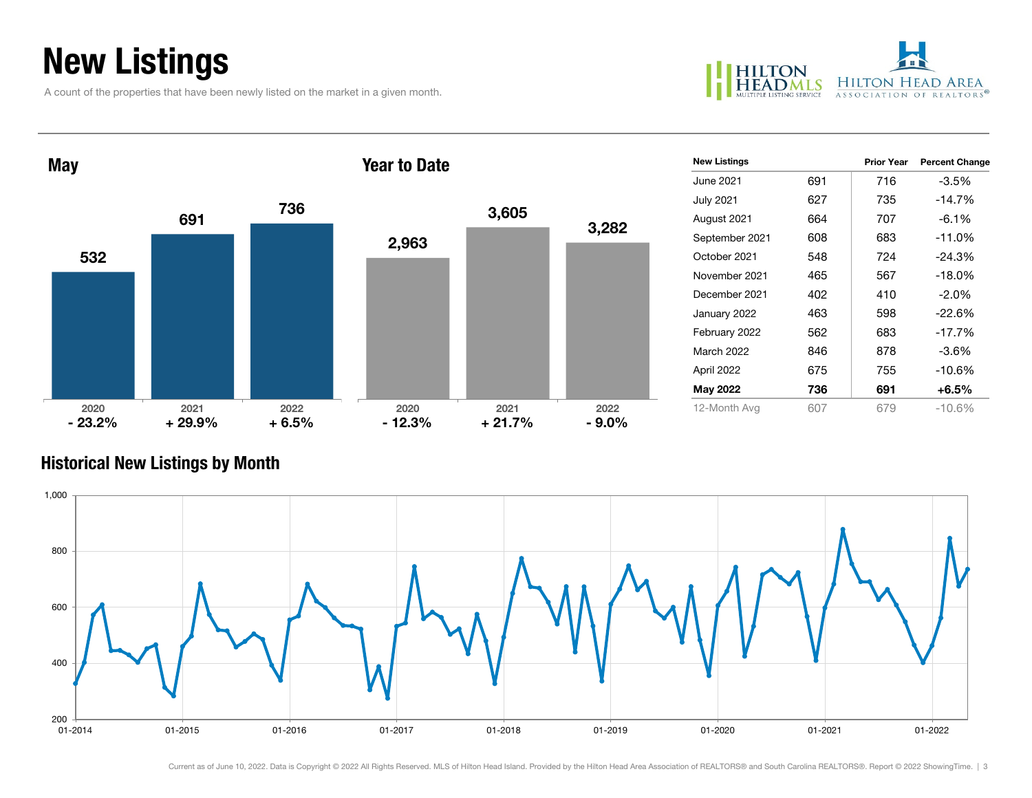### New Listings

A count of the properties that have been newly listed on the market in a given month.



| May              |                  |                 | <b>Year to Date</b> |                  |                 | <b>New Listings</b> |     | <b>Prior Year</b> | <b>Percent Change</b> |
|------------------|------------------|-----------------|---------------------|------------------|-----------------|---------------------|-----|-------------------|-----------------------|
|                  |                  |                 |                     |                  |                 | June 2021           | 691 | 716               | $-3.5%$               |
|                  |                  | 736             |                     |                  |                 | <b>July 2021</b>    | 627 | 735               | $-14.7%$              |
|                  | 691              |                 |                     | 3,605            |                 | August 2021         | 664 | 707               | $-6.1%$               |
|                  |                  |                 | 2,963               |                  | 3,282           | September 2021      | 608 | 683               | $-11.0%$              |
| 532              |                  |                 |                     |                  |                 | October 2021        | 548 | 724               | $-24.3%$              |
|                  |                  |                 |                     |                  |                 | November 2021       | 465 | 567               | $-18.0%$              |
|                  |                  |                 |                     |                  |                 | December 2021       | 402 | 410               | $-2.0%$               |
|                  |                  |                 |                     |                  |                 | January 2022        | 463 | 598               | $-22.6%$              |
|                  |                  |                 |                     |                  |                 | February 2022       | 562 | 683               | $-17.7%$              |
|                  |                  |                 |                     |                  |                 | March 2022          | 846 | 878               | $-3.6%$               |
|                  |                  |                 |                     |                  |                 | April 2022          | 675 | 755               | $-10.6%$              |
|                  |                  |                 |                     |                  |                 | May 2022            | 736 | 691               | $+6.5%$               |
| 2020<br>$-23.2%$ | 2021<br>$+29.9%$ | 2022<br>$+6.5%$ | 2020<br>$-12.3%$    | 2021<br>$+21.7%$ | 2022<br>$-9.0%$ | 12-Month Avg        | 607 | 679               | $-10.6%$              |

#### Historical New Listings by Month

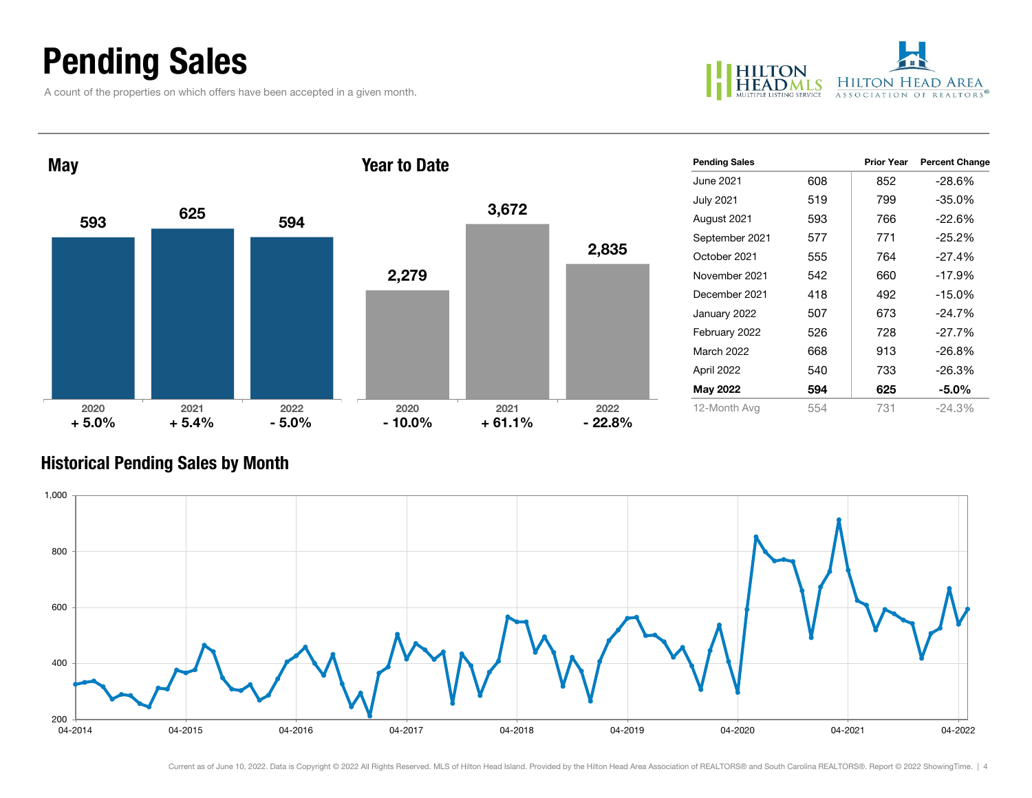### Pending Sales

A count of the properties on which offers have been accepted in a given month.



| <b>May</b>      |                 |                 | <b>Year to Date</b> |                  |                  | <b>Pending Sales</b> |     | <b>Prior Year</b> | <b>Percent Change</b> |
|-----------------|-----------------|-----------------|---------------------|------------------|------------------|----------------------|-----|-------------------|-----------------------|
|                 |                 |                 |                     |                  |                  | June 2021            | 608 | 852               | $-28.6%$              |
|                 |                 |                 |                     |                  |                  | <b>July 2021</b>     | 519 | 799               | $-35.0%$              |
| 593             | 625             | 594             |                     | 3,672            |                  | August 2021          | 593 | 766               | $-22.6%$              |
|                 |                 |                 |                     |                  |                  | September 2021       | 577 | 771               | $-25.2%$              |
|                 |                 |                 |                     |                  | 2,835            | October 2021         | 555 | 764               | $-27.4%$              |
|                 |                 |                 | 2,279               |                  |                  | November 2021        | 542 | 660               | $-17.9%$              |
|                 |                 |                 |                     |                  |                  | December 2021        | 418 | 492               | $-15.0%$              |
|                 |                 |                 |                     |                  |                  | January 2022         | 507 | 673               | -24.7%                |
|                 |                 |                 |                     |                  |                  | February 2022        | 526 | 728               | $-27.7%$              |
|                 |                 |                 |                     |                  |                  | March 2022           | 668 | 913               | $-26.8%$              |
|                 |                 |                 |                     |                  |                  | April 2022           | 540 | 733               | $-26.3%$              |
|                 |                 |                 |                     |                  |                  | <b>May 2022</b>      | 594 | 625               | $-5.0\%$              |
| 2020<br>$+5.0%$ | 2021<br>$+5.4%$ | 2022<br>$-5.0%$ | 2020<br>$-10.0\%$   | 2021<br>$+61.1%$ | 2022<br>$-22.8%$ | 12-Month Avg         | 554 | 731               | $-24.3%$              |

#### Historical Pending Sales by Month

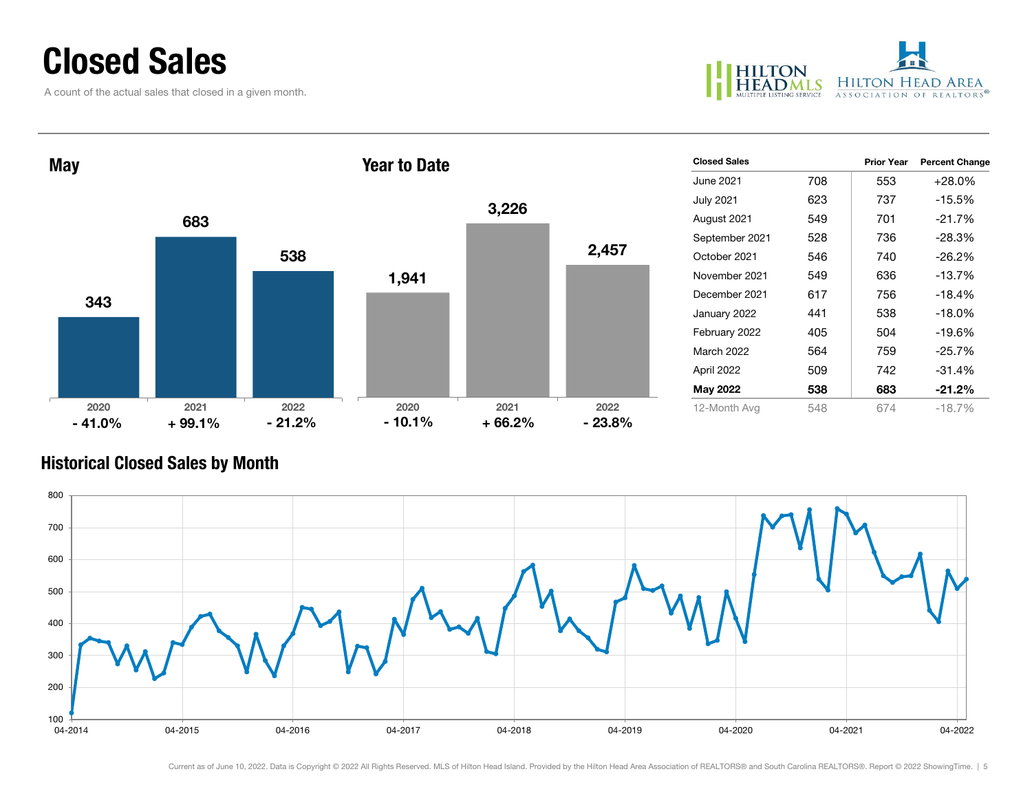### Closed Sales

A count of the actual sales that closed in a given month.



| <b>May</b>       | <b>Year to Date</b> |                  |                  |                  | <b>Closed Sales</b> |                  | <b>Prior Year</b> | <b>Percent Change</b> |          |  |            |     |     |          |
|------------------|---------------------|------------------|------------------|------------------|---------------------|------------------|-------------------|-----------------------|----------|--|------------|-----|-----|----------|
|                  |                     |                  |                  |                  |                     | June 2021        | 708               | 553                   | $+28.0%$ |  |            |     |     |          |
|                  |                     |                  |                  | 3,226            |                     | <b>July 2021</b> | 623               | 737                   | $-15.5%$ |  |            |     |     |          |
|                  | 683                 |                  |                  |                  |                     | August 2021      | 549               | 701                   | $-21.7%$ |  |            |     |     |          |
|                  |                     |                  |                  |                  |                     | September 2021   | 528               | 736                   | $-28.3%$ |  |            |     |     |          |
|                  |                     | 538              |                  |                  | 2,457               | October 2021     | 546               | 740                   | $-26.2%$ |  |            |     |     |          |
|                  |                     |                  | 1,941            |                  | November 2021       | 549              | 636               | $-13.7%$              |          |  |            |     |     |          |
| 343              |                     |                  |                  |                  | December 2021       | 617              | 756               | $-18.4%$              |          |  |            |     |     |          |
|                  |                     |                  |                  |                  |                     | January 2022     | 441               | 538                   | $-18.0%$ |  |            |     |     |          |
|                  |                     |                  |                  |                  |                     | February 2022    | 405               | 504                   | $-19.6%$ |  |            |     |     |          |
|                  |                     |                  |                  |                  |                     |                  |                   |                       |          |  | March 2022 | 564 | 759 | $-25.7%$ |
|                  |                     |                  |                  |                  |                     | April 2022       | 509               | 742                   | $-31.4%$ |  |            |     |     |          |
|                  |                     |                  |                  |                  |                     | May 2022         | 538               | 683                   | $-21.2%$ |  |            |     |     |          |
| 2020<br>$-41.0%$ | 2021<br>$+99.1%$    | 2022<br>$-21.2%$ | 2020<br>$-10.1%$ | 2021<br>$+66.2%$ | 2022<br>$-23.8%$    | 12-Month Avg     | 548               | 674                   | $-18.7%$ |  |            |     |     |          |

#### Historical Closed Sales by Month

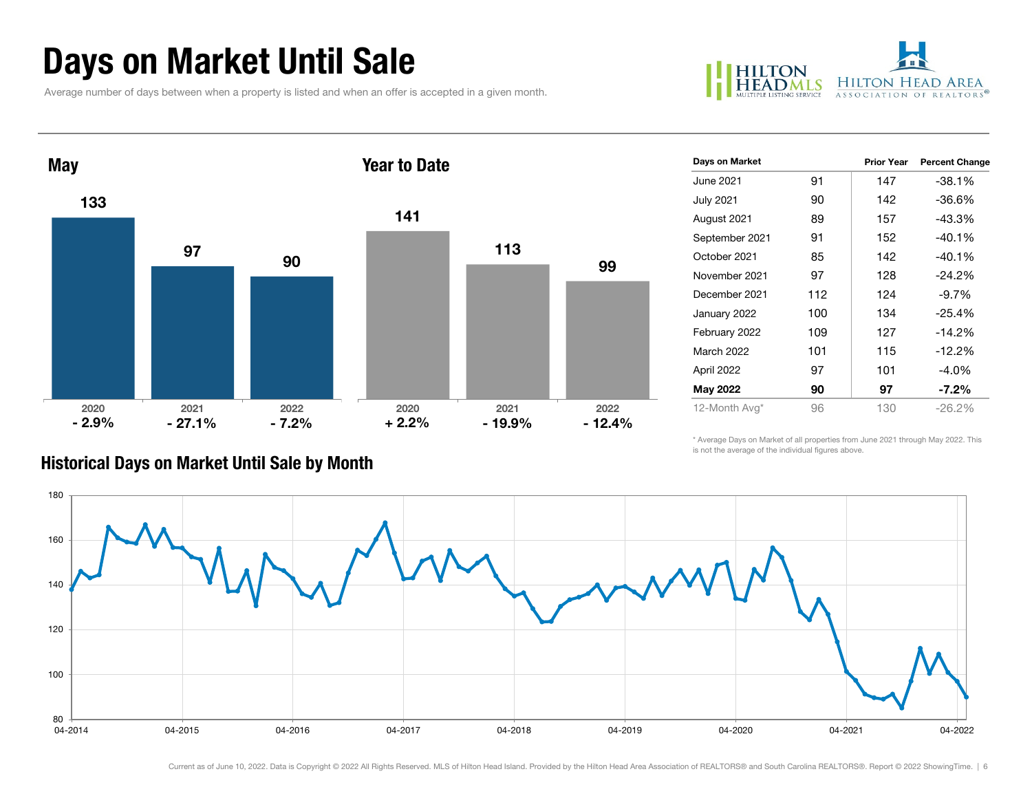### Days on Market Until Sale

Average number of days between when a property is listed and when an offer is accepted in a given month.





| Days on Market    |     | <b>Prior Year</b> | <b>Percent Change</b> |
|-------------------|-----|-------------------|-----------------------|
| June 2021         | 91  | 147               | -38.1%                |
| <b>July 2021</b>  | 90  | 142               | -36.6%                |
| August 2021       | 89  | 157               | -43.3%                |
| September 2021    | 91  | 152               | $-40.1%$              |
| October 2021      | 85  | 142               | -40.1%                |
| November 2021     | 97  | 128               | -24.2%                |
| December 2021     | 112 | 124               | $-9.7\%$              |
| January 2022      | 100 | 134               | $-25.4%$              |
| February 2022     | 109 | 127               | -14.2%                |
| <b>March 2022</b> | 101 | 115               | $-12.2\%$             |
| April 2022        | 97  | 101               | $-4.0\%$              |
| May 2022          | 90  | 97                | $-7.2\%$              |
| 12-Month Avg*     | 96  | 130               | $-26.2%$              |

#### Historical Days on Market Until Sale by Month

\* Average Days on Market of all properties from June 2021 through May 2022. This is not the average of the individual figures above.

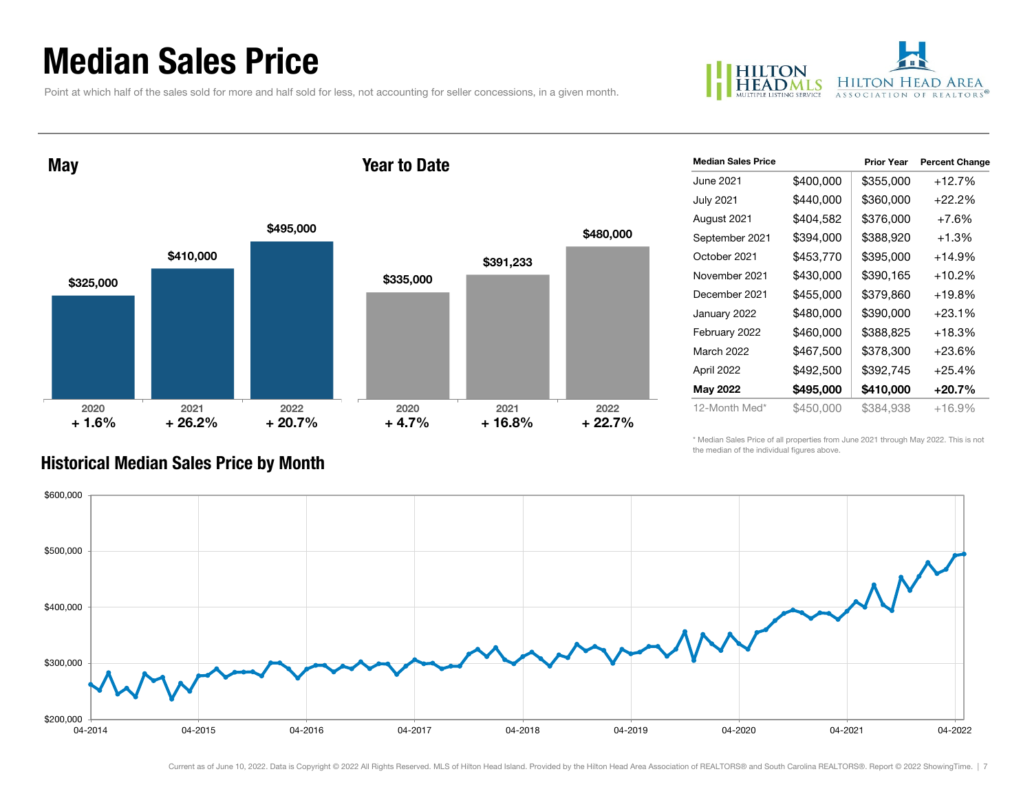### Median Sales Price

Point at which half of the sales sold for more and half sold for less, not accounting for seller concessions, in a given month.



May

#### Year to Date



| <b>Median Sales Price</b> |           | <b>Prior Year</b> | <b>Percent Change</b> |
|---------------------------|-----------|-------------------|-----------------------|
| June 2021                 | \$400,000 | \$355,000         | $+12.7%$              |
| <b>July 2021</b>          | \$440,000 | \$360,000         | $+22.2%$              |
| August 2021               | \$404,582 | \$376,000         | $+7.6\%$              |
| September 2021            | \$394,000 | \$388,920         | $+1.3%$               |
| October 2021              | \$453,770 | \$395,000         | $+14.9%$              |
| November 2021             | \$430,000 | \$390,165         | $+10.2%$              |
| December 2021             | \$455,000 | \$379,860         | $+19.8%$              |
| January 2022              | \$480,000 | \$390,000         | $+23.1%$              |
| February 2022             | \$460,000 | \$388,825         | $+18.3%$              |
| <b>March 2022</b>         | \$467,500 | \$378,300         | $+23.6\%$             |
| April 2022                | \$492,500 | \$392,745         | $+25.4%$              |
| <b>May 2022</b>           | \$495,000 | \$410,000         | $+20.7\%$             |
| 12-Month Med*             | \$450,000 | \$384,938         | $+16.9%$              |

\* Median Sales Price of all properties from June 2021 through May 2022. This is not the median of the individual figures above.



#### Historical Median Sales Price by Month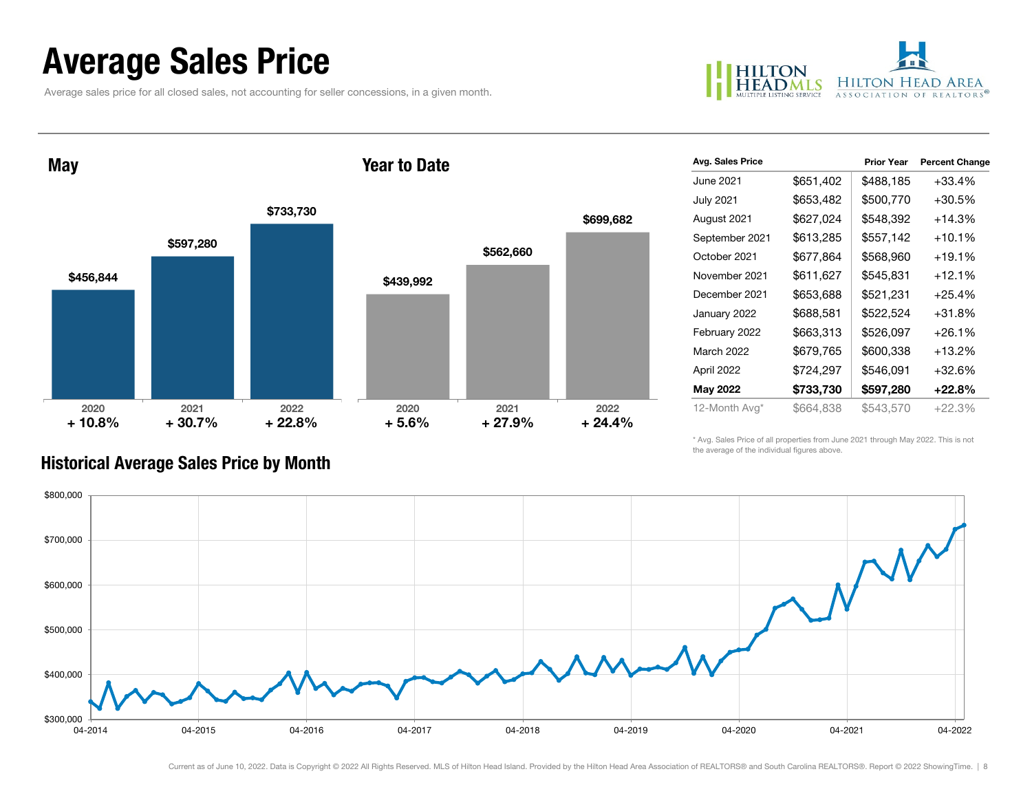### Average Sales Price

Average sales price for all closed sales, not accounting for seller concessions, in a given month.



May

#### Year to Date



| Avg. Sales Price  |           | <b>Prior Year</b> | <b>Percent Change</b> |
|-------------------|-----------|-------------------|-----------------------|
| June 2021         | \$651,402 | \$488,185         | $+33.4%$              |
| <b>July 2021</b>  | \$653,482 | \$500,770         | $+30.5%$              |
| August 2021       | \$627,024 | \$548,392         | $+14.3%$              |
| September 2021    | \$613,285 | \$557,142         | $+10.1%$              |
| October 2021      | \$677,864 | \$568,960         | $+19.1%$              |
| November 2021     | \$611,627 | \$545,831         | $+12.1%$              |
| December 2021     | \$653,688 | \$521,231         | $+25.4%$              |
| January 2022      | \$688,581 | \$522,524         | $+31.8%$              |
| February 2022     | \$663,313 | \$526,097         | $+26.1%$              |
| <b>March 2022</b> | \$679,765 | \$600,338         | $+13.2%$              |
| April 2022        | \$724,297 | \$546,091         | $+32.6%$              |
| <b>May 2022</b>   | \$733,730 | \$597,280         | $+22.8%$              |
| 12-Month Avg*     | \$664,838 | \$543,570         | $+22.3%$              |

\* Avg. Sales Price of all properties from June 2021 through May 2022. This is not the average of the individual figures above.



#### Historical Average Sales Price by Month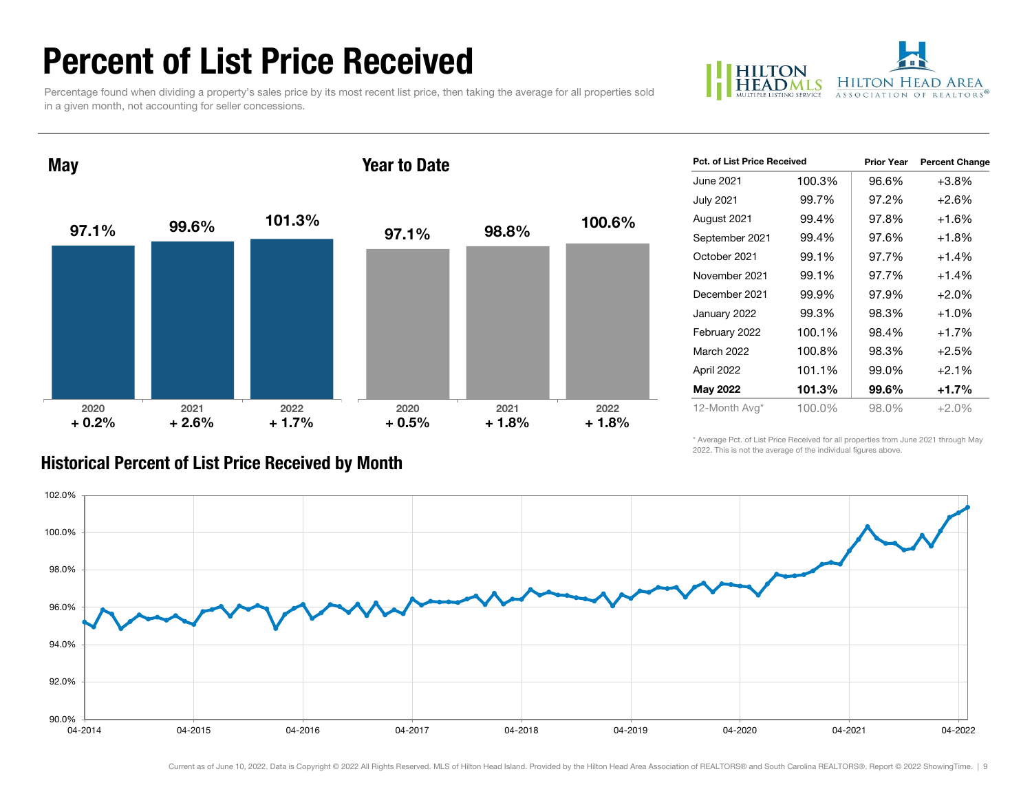### Percent of List Price Received

Percentage found when dividing a property's sales price by its most recent list price, then taking the average for all properties sold in a given month, not accounting for seller concessions.



**May** 

#### Year to Date



| <b>Pct. of List Price Received</b> |        | <b>Prior Year</b> | <b>Percent Change</b> |
|------------------------------------|--------|-------------------|-----------------------|
| June 2021                          | 100.3% | 96.6%             | $+3.8%$               |
| <b>July 2021</b>                   | 99.7%  | 97.2%             | $+2.6%$               |
| August 2021                        | 99.4%  | 97.8%             | $+1.6%$               |
| September 2021                     | 99.4%  | 97.6%             | $+1.8%$               |
| October 2021                       | 99.1%  | 97.7%             | $+1.4%$               |
| November 2021                      | 99.1%  | 97.7%             | $+1.4%$               |
| December 2021                      | 99.9%  | 97.9%             | $+2.0%$               |
| January 2022                       | 99.3%  | 98.3%             | $+1.0%$               |
| February 2022                      | 100.1% | 98.4%             | $+1.7%$               |
| March 2022                         | 100.8% | 98.3%             | $+2.5%$               |
| April 2022                         | 101.1% | 99.0%             | $+2.1%$               |
| May 2022                           | 101.3% | 99.6%             | $+1.7%$               |
| 12-Month Avg*                      | 100.0% | 98.0%             | +2.0%                 |

\* Average Pct. of List Price Received for all properties from June 2021 through May 2022. This is not the average of the individual figures above.



#### Historical Percent of List Price Received by Month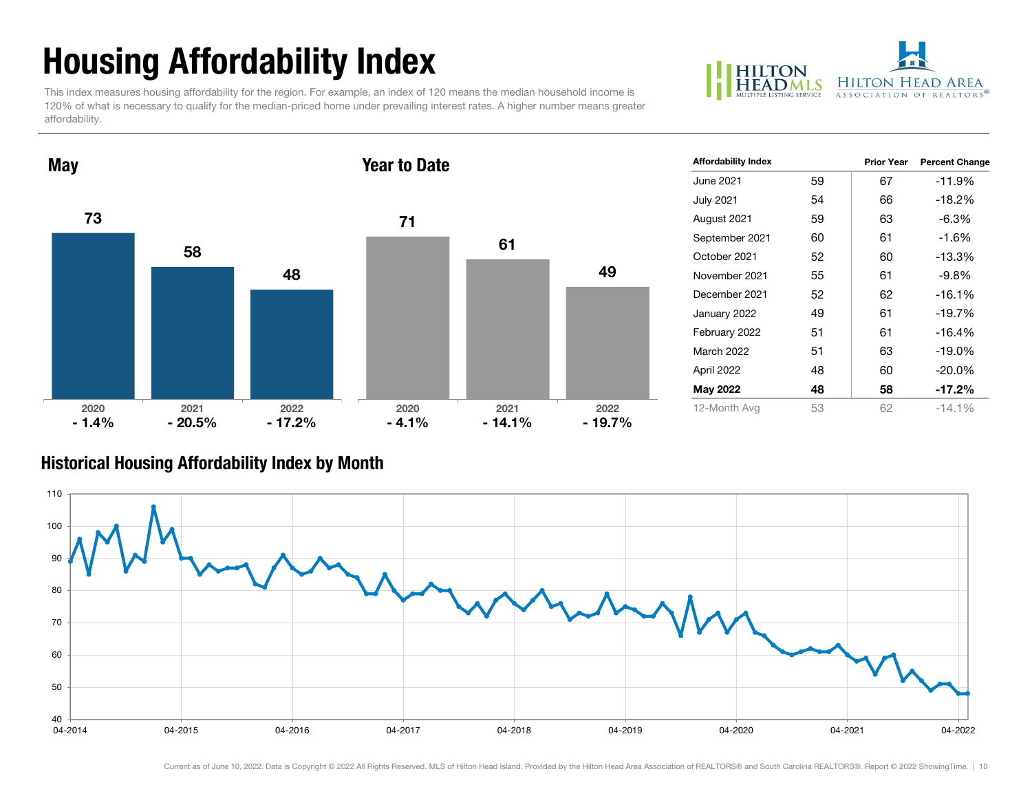## Housing Affordability Index

This index measures housing affordability for the region. For example, an index of 120 means the median household income is 120% of what is necessary to qualify for the median-priced home under prevailing interest rates. A higher number means greater affordability.



7358482020 2021 2022 May 7161492020 2021 2022 Year to Date $-1.4%$  $-20.5\%$   $-17.2\%$   $-4.1\%$  $-17.2\%$  - 4.1% - 14.1% - 19.7%

| <b>Affordability Index</b> |    | <b>Prior Year</b> | <b>Percent Change</b> |
|----------------------------|----|-------------------|-----------------------|
| June 2021                  | 59 | 67                | -11.9%                |
| <b>July 2021</b>           | 54 | 66                | -18.2%                |
| August 2021                | 59 | 63                | $-6.3\%$              |
| September 2021             | 60 | 61                | $-1.6%$               |
| October 2021               | 52 | 60                | $-13.3%$              |
| November 2021              | 55 | 61                | $-9.8%$               |
| December 2021              | 52 | 62                | $-16.1%$              |
| January 2022               | 49 | 61                | $-19.7%$              |
| February 2022              | 51 | 61                | $-16.4%$              |
| March 2022                 | 51 | 63                | -19.0%                |
| April 2022                 | 48 | 60                | $-20.0\%$             |
| May 2022                   | 48 | 58                | $-17.2%$              |
| 12-Month Avg               | 53 | 62                | $-14.1\%$             |

#### Historical Housing Affordability Index by Mont h

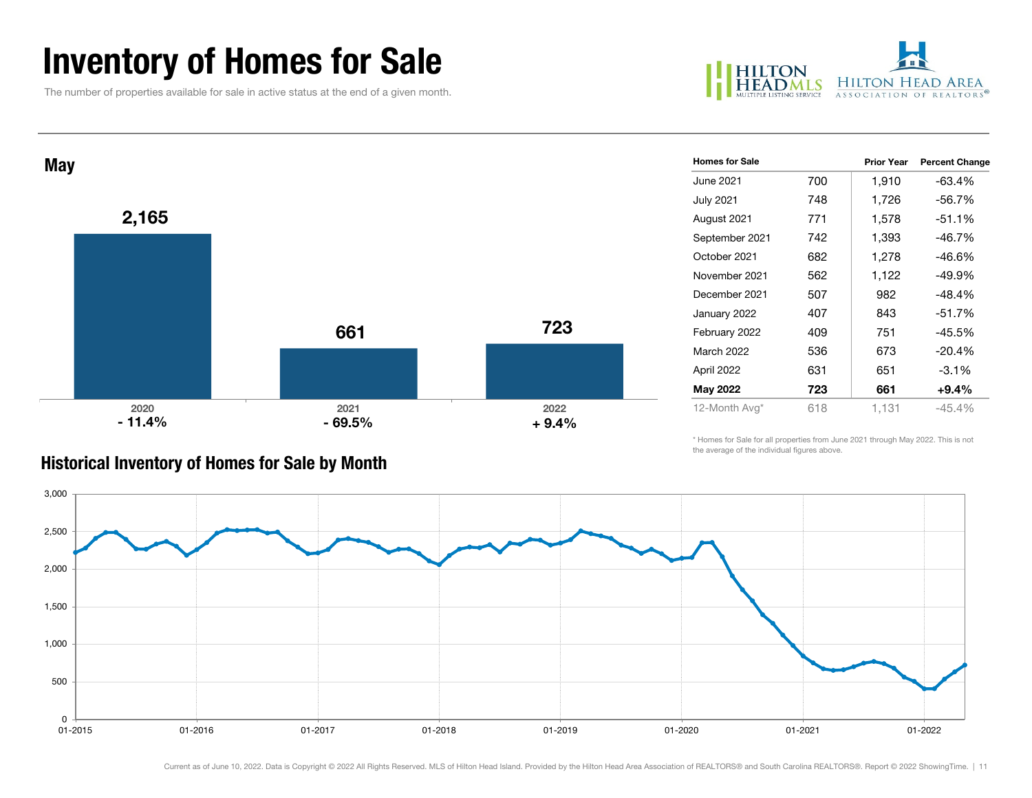### Inventory of Homes for Sale

The number of properties available for sale in active status at the end of a given month.





| <b>Historical Inventory of Homes for Sale by Month</b> |  |  |  |  |
|--------------------------------------------------------|--|--|--|--|
|                                                        |  |  |  |  |

| <b>Homes for Sale</b> |     | <b>Prior Year</b> | <b>Percent Change</b> |
|-----------------------|-----|-------------------|-----------------------|
| June 2021             | 700 | 1,910             | -63.4%                |
| <b>July 2021</b>      | 748 | 1,726             | $-56.7%$              |
| August 2021           | 771 | 1,578             | $-51.1%$              |
| September 2021        | 742 | 1,393             | $-46.7%$              |
| October 2021          | 682 | 1,278             | -46.6%                |
| November 2021         | 562 | 1,122             | $-49.9%$              |
| December 2021         | 507 | 982               | $-48.4%$              |
| January 2022          | 407 | 843               | $-51.7%$              |
| February 2022         | 409 | 751               | $-45.5%$              |
| March 2022            | 536 | 673               | $-20.4%$              |
| April 2022            | 631 | 651               | $-3.1\%$              |
| May 2022              | 723 | 661               | $+9.4%$               |
| 12-Month Avg*         | 618 | 1.131             | $-45.4%$              |

\* Homes for Sale for all properties from June 2021 through May 2022. This is not the average of the individual figures above.